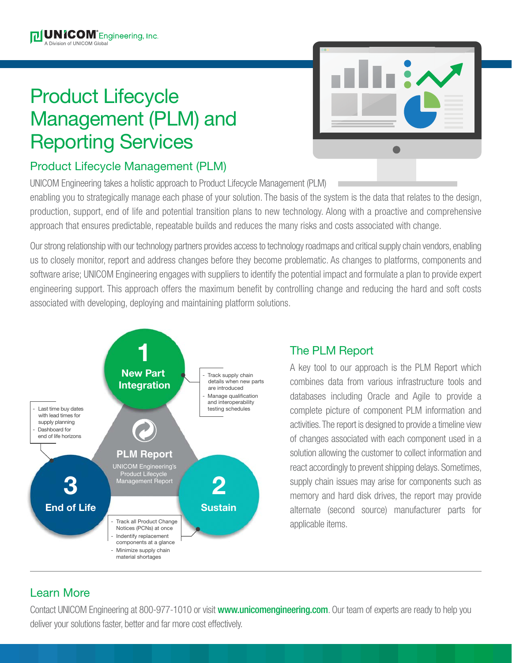## Product Lifecycle Management (PLM) and Reporting Services



## Product Lifecycle Management (PLM)

UNICOM Engineering takes a holistic approach to Product Lifecycle Management (PLM)

enabling you to strategically manage each phase of your solution. The basis of the system is the data that relates to the design, production, support, end of life and potential transition plans to new technology. Along with a proactive and comprehensive approach that ensures predictable, repeatable builds and reduces the many risks and costs associated with change.

Our strong relationship with our technology partners provides access to technology roadmaps and critical supply chain vendors, enabling us to closely monitor, report and address changes before they become problematic. As changes to platforms, components and software arise; UNICOM Engineering engages with suppliers to identify the potential impact and formulate a plan to provide expert engineering support. This approach offers the maximum benefit by controlling change and reducing the hard and soft costs associated with developing, deploying and maintaining platform solutions.



## The PLM Report

A key tool to our approach is the PLM Report which combines data from various infrastructure tools and databases including Oracle and Agile to provide a complete picture of component PLM information and activities. The report is designed to provide a timeline view of changes associated with each component used in a solution allowing the customer to collect information and react accordingly to prevent shipping delays. Sometimes, supply chain issues may arise for components such as memory and hard disk drives, the report may provide alternate (second source) manufacturer parts for applicable items.

## Learn More

Contact UNICOM Engineering at 800-977-1010 or visit www.unicomengineering.com. Our team of experts are ready to help you deliver your solutions faster, better and far more cost effectively.